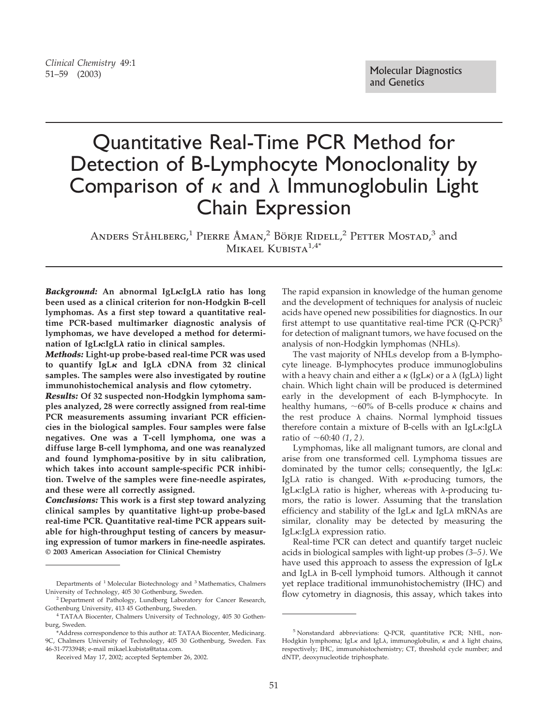## *Clinical Chemistry* 49:1

# Quantitative Real-Time PCR Method for Detection of B-Lymphocyte Monoclonality by Comparison of  $\kappa$  and  $\lambda$  Immunoglobulin Light Chain Expression

ANDERS STÅHLBERG,<sup>1</sup> PIERRE ÅMAN,<sup>2</sup> BÖRJE RIDELL,<sup>2</sup> PETTER MOSTAD,<sup>3</sup> and MIKAEL KUBISTA $1.4*$ 

*Background:* **An abnormal IgL:IgL**- **ratio has long been used as a clinical criterion for non-Hodgkin B-cell lymphomas. As a first step toward a quantitative realtime PCR-based multimarker diagnostic analysis of lymphomas, we have developed a method for determination of IgL:IgL**- **ratio in clinical samples.**

*Methods:* **Light-up probe-based real-time PCR was used** to quantify IgL<sub>K</sub> and IgLA cDNA from 32 clinical **samples. The samples were also investigated by routine immunohistochemical analysis and flow cytometry.**

*Results:* **Of 32 suspected non-Hodgkin lymphoma samples analyzed, 28 were correctly assigned from real-time PCR measurements assuming invariant PCR efficiencies in the biological samples. Four samples were false negatives. One was a T-cell lymphoma, one was a diffuse large B-cell lymphoma, and one was reanalyzed and found lymphoma-positive by in situ calibration, which takes into account sample-specific PCR inhibition. Twelve of the samples were fine-needle aspirates, and these were all correctly assigned.**

*Conclusions:* **This work is a first step toward analyzing clinical samples by quantitative light-up probe-based real-time PCR. Quantitative real-time PCR appears suitable for high-throughput testing of cancers by measuring expression of tumor markers in fine-needle aspirates. © 2003 American Association for Clinical Chemistry**

The rapid expansion in knowledge of the human genome and the development of techniques for analysis of nucleic acids have opened new possibilities for diagnostics. In our first attempt to use quantitative real-time PCR  $(Q$ -PCR $)^5$ for detection of malignant tumors, we have focused on the analysis of non-Hodgkin lymphomas (NHLs).

The vast majority of NHLs develop from a B-lymphocyte lineage. B-lymphocytes produce immunoglobulins with a heavy chain and either a  $\kappa$  (IgL $\kappa$ ) or a  $\lambda$  (IgL $\lambda$ ) light chain. Which light chain will be produced is determined early in the development of each B-lymphocyte. In healthy humans,  $\sim 60\%$  of B-cells produce  $\kappa$  chains and the rest produce  $\lambda$  chains. Normal lymphoid tissues therefore contain a mixture of B-cells with an IgL $\kappa$ :IgL $\lambda$ ratio of  $\sim 60:40$  (1, 2).

Lymphomas, like all malignant tumors, are clonal and arise from one transformed cell. Lymphoma tissues are dominated by the tumor cells; consequently, the IgL $\kappa$ : IgLλ ratio is changed. With κ-producing tumors, the IgLκ:IgLλ ratio is higher, whereas with λ-producing tumors, the ratio is lower. Assuming that the translation efficiency and stability of the IgL $\kappa$  and IgL $\lambda$  mRNAs are similar, clonality may be detected by measuring the IgLκ:IgLλ expression ratio.

Real-time PCR can detect and quantify target nucleic acids in biological samples with light-up probes *(3–5)*. We have used this approach to assess the expression of IgL<sub>K</sub> and IgL $\lambda$  in B-cell lymphoid tumors. Although it cannot yet replace traditional immunohistochemistry (IHC) and flow cytometry in diagnosis, this assay, which takes into

Departments of <sup>1</sup> Molecular Biotechnology and <sup>3</sup> Mathematics, Chalmers University of Technology, 405 30 Gothenburg, Sweden.

<sup>2</sup> Department of Pathology, Lundberg Laboratory for Cancer Research, Gothenburg University, 413 45 Gothenburg, Sweden.

<sup>4</sup> TATAA Biocenter, Chalmers University of Technology, 405 30 Gothenburg, Sweden.

<sup>\*</sup>Address correspondence to this author at: TATAA Biocenter, Medicinarg. 9C, Chalmers University of Technology, 405 30 Gothenburg, Sweden. Fax 46-31-7733948; e-mail mikael.kubista@tataa.com.

Received May 17, 2002; accepted September 26, 2002.

<sup>5</sup> Nonstandard abbreviations: Q-PCR, quantitative PCR; NHL, non-Hodgkin lymphoma; IgL $\kappa$  and IgL $\lambda$ , immunoglobulin,  $\kappa$  and  $\lambda$  light chains, respectively; IHC, immunohistochemistry; CT, threshold cycle number; and dNTP, deoxynucleotide triphosphate.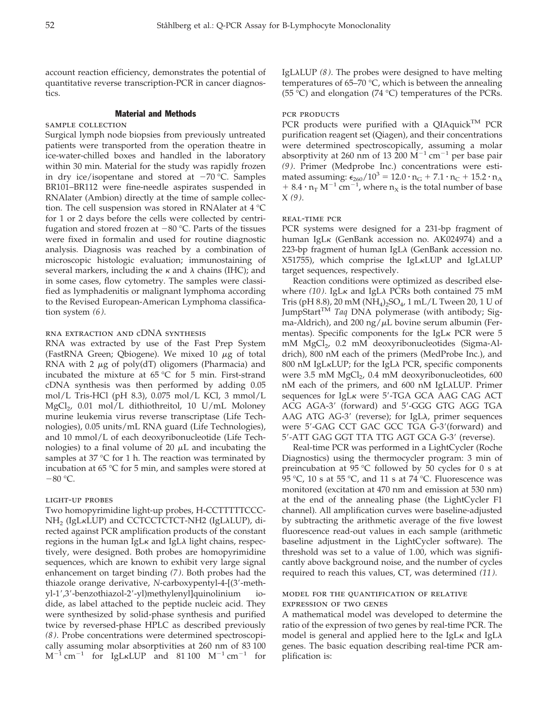account reaction efficiency, demonstrates the potential of quantitative reverse transcription-PCR in cancer diagnostics.

#### Material and Methods

#### sample collection

Surgical lymph node biopsies from previously untreated patients were transported from the operation theatre in ice-water-chilled boxes and handled in the laboratory within 30 min. Material for the study was rapidly frozen in dry ice/isopentane and stored at  $-70$  °C. Samples BR101–BR112 were fine-needle aspirates suspended in RNAlater (Ambion) directly at the time of sample collection. The cell suspension was stored in RNAlater at 4 °C for 1 or 2 days before the cells were collected by centrifugation and stored frozen at  $-80$  °C. Parts of the tissues were fixed in formalin and used for routine diagnostic analysis. Diagnosis was reached by a combination of microscopic histologic evaluation; immunostaining of several markers, including the  $\kappa$  and  $\lambda$  chains (IHC); and in some cases, flow cytometry. The samples were classified as lymphadenitis or malignant lymphoma according to the Revised European-American Lymphoma classification system *(6)*.

## rna extraction and cDNA synthesis

RNA was extracted by use of the Fast Prep System (FastRNA Green; Qbiogene). We mixed 10  $\mu$ g of total RNA with 2  $\mu$ g of poly(dT) oligomers (Pharmacia) and incubated the mixture at 65 °C for 5 min. First-strand cDNA synthesis was then performed by adding 0.05 mol/L Tris-HCl (pH 8.3), 0.075 mol/L KCl, 3 mmol/L MgCl<sub>2</sub>, 0.01 mol/L dithiothreitol, 10 U/mL Moloney murine leukemia virus reverse transcriptase (Life Technologies), 0.05 units/mL RNA guard (Life Technologies), and 10 mmol/L of each deoxyribonucleotide (Life Technologies) to a final volume of 20  $\mu$ L and incubating the samples at 37 °C for 1 h. The reaction was terminated by incubation at 65 °C for 5 min, and samples were stored at  $-80$  °C.

#### light-up probes

Two homopyrimidine light-up probes, H-CCTTTTTCCC-NH<sub>2</sub> (IgLĸLUP) and CCTCCTCTCT-NH2 (IgLλLUP), directed against PCR amplification products of the constant regions in the human IgL $\kappa$  and IgL $\lambda$  light chains, respectively, were designed. Both probes are homopyrimidine sequences, which are known to exhibit very large signal enhancement on target binding *(7)*. Both probes had the thiazole orange derivative, *N*-carboxypentyl-4-[(3-methyl-1',3'-benzothiazol-2'-yl)methylenyl]quinolinium iodide, as label attached to the peptide nucleic acid. They were synthesized by solid-phase synthesis and purified twice by reversed-phase HPLC as described previously *(8)*. Probe concentrations were determined spectroscopically assuming molar absorptivities at 260 nm of 83 100  $M^{-1}$  cm<sup>-1</sup> for IgL<sub>K</sub>LUP and 81 100  $M^{-1}$  cm<sup>-1</sup> for

IgLλLUP (*8*). The probes were designed to have melting temperatures of 65–70  $\degree$ C, which is between the annealing (55 °C) and elongation (74 °C) temperatures of the PCRs.

#### pcr products

PCR products were purified with a QIAquick<sup>TM</sup> PCR purification reagent set (Qiagen), and their concentrations were determined spectroscopically, assuming a molar absorptivity at 260 nm of 13 200  $\dot{M}^{-1}$  cm<sup>-1</sup> per base pair *(9)*. Primer (Medprobe Inc.) concentrations were estimated assuming:  $\epsilon_{260}/10^3 = 12.0 \cdot n_G + 7.1 \cdot n_C + 15.2 \cdot n_A$ + 8.4  $\cdot$  n<sub>T</sub> M<sup>-1</sup> cm<sup>-1</sup>, where n<sub>X</sub> is the total number of base X *(9)*.

#### real-time pcr

PCR systems were designed for a 231-bp fragment of human IgL<sub>K</sub> (GenBank accession no. AK024974) and a 223-bp fragment of human IgL $\lambda$  (GenBank accession no. X51755), which comprise the IgLκLUP and IgLλLUP target sequences, respectively.

Reaction conditions were optimized as described elsewhere (10). IgL<sub>K</sub> and IgL $\lambda$  PCRs both contained 75 mM Tris (pH 8.8), 20 mM ( $NH_4$ )<sub>2</sub>SO<sub>4</sub>, 1 mL/L Tween 20, 1 U of JumpStart<sup>TM</sup> *Taq* DNA polymerase (with antibody; Sigma-Aldrich), and 200 ng/ $\mu$ L bovine serum albumin (Fermentas). Specific components for the IgL $\kappa$  PCR were 5 mM MgCl<sub>2</sub>, 0.2 mM deoxyribonucleotides (Sigma-Aldrich), 800 nM each of the primers (MedProbe Inc.), and 800 nM IgLκLUP; for the IgLλ PCR, specific components were  $3.5$  mM MgCl<sub>2</sub>,  $0.4$  mM deoxyribonucleotides,  $600$ nM each of the primers, and 600 nM IgLλLUP. Primer sequences for IgL<sub>K</sub> were 5'-TGA GCA AAG CAG ACT ACG AGA-3' (forward) and 5'-GGG GTG AGG TGA AAG ATG AG-3' (reverse); for IgL $\lambda$ , primer sequences were 5'-GAG CCT GAC GCC TGA G-3'(forward) and 5'-ATT GAG GGT TTA TTG AGT GCA G-3' (reverse).

Real-time PCR was performed in a LightCycler (Roche Diagnostics) using the thermocycler program: 3 min of preincubation at 95 °C followed by 50 cycles for 0 s at 95 °C, 10 s at 55 °C, and 11 s at 74 °C. Fluorescence was monitored (excitation at 470 nm and emission at 530 nm) at the end of the annealing phase (the LightCycler F1 channel). All amplification curves were baseline-adjusted by subtracting the arithmetic average of the five lowest fluorescence read-out values in each sample (arithmetic baseline adjustment in the LightCycler software). The threshold was set to a value of 1.00, which was significantly above background noise, and the number of cycles required to reach this values, CT, was determined *(11)*.

## model for the quantification of relative expression of two genes

A mathematical model was developed to determine the ratio of the expression of two genes by real-time PCR. The model is general and applied here to the IgL $\kappa$  and IgL $\lambda$ genes. The basic equation describing real-time PCR amplification is: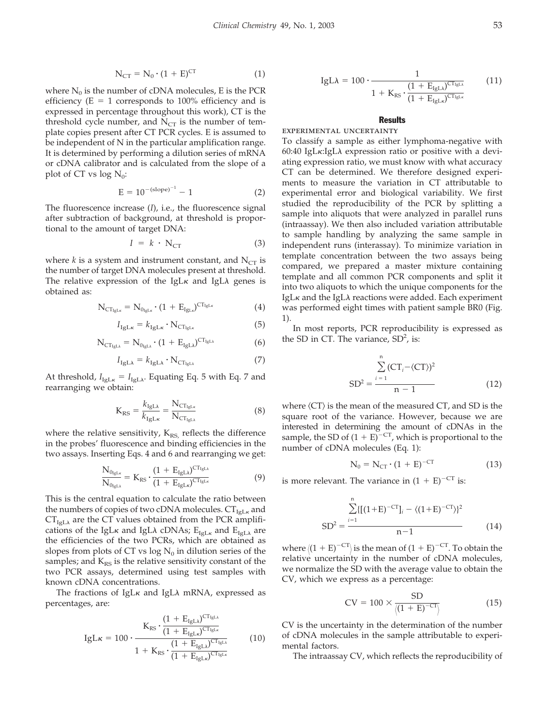$$
N_{CT} = N_0 \cdot (1 + E)^{CT} \tag{1}
$$

where  $N_0$  is the number of cDNA molecules, E is the PCR efficiency ( $E = 1$  corresponds to 100% efficiency and is expressed in percentage throughout this work), CT is the threshold cycle number, and  $N_{CT}$  is the number of template copies present after CT PCR cycles. E is assumed to be independent of N in the particular amplification range. It is determined by performing a dilution series of mRNA or cDNA calibrator and is calculated from the slope of a plot of CT vs log  $N_0$ :

$$
E = 10^{-(slope)^{-1}} - 1 \tag{2}
$$

The fluorescence increase (*I*), i.e., the fluorescence signal after subtraction of background, at threshold is proportional to the amount of target DNA:

$$
I = k \cdot N_{CT} \tag{3}
$$

where *k* is a system and instrument constant, and  $N_{CT}$  is the number of target DNA molecules present at threshold. The relative expression of the IgL $\kappa$  and IgL $\lambda$  genes is obtained as:

$$
N_{CT_{IgL\kappa}} = N_{0_{IgL\kappa}} \cdot (1 + E_{IgL\kappa})^{CT_{IgL\kappa}}
$$
\n(4)

$$
I_{\text{IgLk}} = k_{\text{IgLk}} \cdot \text{N}_{\text{CT}_{\text{IgLk}}} \tag{5}
$$

$$
N_{CT_{IgL\lambda}} = N_{0_{IgL\lambda}} \cdot (1 + E_{IgL\lambda})^{CT_{IgL\lambda}}
$$
 (6)

$$
I_{\text{IgL}\lambda} = k_{\text{IgL}\lambda} \cdot \text{N}_{\text{CT}_{\text{IgL}\lambda}} \tag{7}
$$

At threshold,  $I_{\text{IgL}k} = I_{\text{IgL}\lambda}$ . Equating Eq. 5 with Eq. 7 and rearranging we obtain:

$$
K_{RS} = \frac{k_{IgLA}}{k_{IgLK}} = \frac{N_{CT_{IgLK}}}{N_{CT_{IgLA}}} \tag{8}
$$

where the relative sensitivity,  $K_{RS}$  reflects the difference in the probes' fluorescence and binding efficiencies in the two assays. Inserting Eqs. 4 and 6 and rearranging we get:

$$
\frac{N_{0_{lgL\kappa}}}{N_{0_{lgL\lambda}}} = K_{RS} \cdot \frac{(1 + E_{lgL\lambda})^{CT_{lgL\lambda}}}{(1 + E_{lgL\kappa})^{CT_{lgL\kappa}}}
$$
(9)

This is the central equation to calculate the ratio between the numbers of copies of two cDNA molecules.  $CT_{IgL_K}$  and  $CT_{\text{IgL}\lambda}$  are the CT values obtained from the PCR amplifications of the IgL $\kappa$  and IgL $\lambda$  cDNAs;  $\mathrm{E_{IgL\kappa}}$  and  $\mathrm{E_{IgL\lambda}}$  are the efficiencies of the two PCRs, which are obtained as slopes from plots of CT vs log  $N_0$  in dilution series of the samples; and  $K_{RS}$  is the relative sensitivity constant of the two PCR assays, determined using test samples with known cDNA concentrations.

The fractions of IgL $\kappa$  and IgL $\lambda$  mRNA, expressed as percentages, are:

$$
IgLK = 100 \cdot \frac{K_{RS} \cdot \frac{(1 + E_{IgL\lambda})^{CT_{IgL\lambda}}}{(1 + E_{IgL\lambda})^{CT_{IgL\lambda}}}}{1 + K_{RS} \cdot \frac{(1 + E_{IgL\lambda})^{CT_{IgL\lambda}}}{(1 + E_{IgL\lambda})^{CT_{IgL\lambda}}}}
$$
(10)

$$
IgL\lambda = 100 \cdot \frac{1}{1 + K_{RS} \cdot \frac{(1 + E_{IgL\lambda})^{CT_{IgL\lambda}}}{(1 + E_{IgL\lambda})^{CT_{IgL\lambda}}}}
$$
(11)

#### **Results**

experimental uncertainty

To classify a sample as either lymphoma-negative with 60:40 IgL $\kappa$ :IgL $\lambda$  expression ratio or positive with a deviating expression ratio, we must know with what accuracy CT can be determined. We therefore designed experiments to measure the variation in CT attributable to experimental error and biological variability. We first studied the reproducibility of the PCR by splitting a sample into aliquots that were analyzed in parallel runs (intraassay). We then also included variation attributable to sample handling by analyzing the same sample in independent runs (interassay). To minimize variation in template concentration between the two assays being compared, we prepared a master mixture containing template and all common PCR components and split it into two aliquots to which the unique components for the IgL $\kappa$  and the IgL $\lambda$  reactions were added. Each experiment was performed eight times with patient sample BR0 (Fig. 1).

In most reports, PCR reproducibility is expressed as the SD in CT. The variance,  $SD<sup>2</sup>$ , is:

$$
SD2 = \frac{\sum_{i=1}^{n} (CT_i - \langle CT \rangle)^2}{n - 1}
$$
 (12)

where  $\langle CT \rangle$  is the mean of the measured  $CT$ , and SD is the square root of the variance. However, because we are interested in determining the amount of cDNAs in the sample, the SD of  $(1 + E)^{-CT}$ , which is proportional to the number of cDNA molecules (Eq. 1):

$$
N_0 = N_{CT} \cdot (1 + E)^{-CT} \tag{13}
$$

is more relevant. The variance in  $(1 + E)^{-CT}$  is:

$$
SD^{2} = \frac{\sum_{i=1}^{n} \{[(1+E)^{-CT}]_{i} - \langle (1+E)^{-CT} \rangle\}^{2}}{n-1}
$$
(14)

where  $\langle (1 + E)^{-CT} \rangle$  is the mean of  $(1 + E)^{-CT}$ . To obtain the relative uncertainty in the number of cDNA molecules, we normalize the SD with the average value to obtain the CV, which we express as a percentage:

$$
CV = 100 \times \frac{SD}{\langle (1 + E)^{-CT} \rangle}
$$
 (15)

CV is the uncertainty in the determination of the number of cDNA molecules in the sample attributable to experimental factors.

The intraassay CV, which reflects the reproducibility of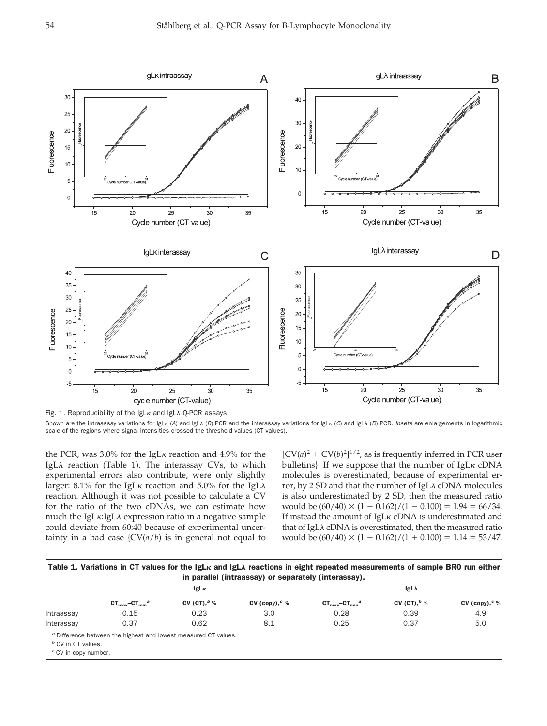

Fig. 1. Reproducibility of the IgL<sub>K</sub> and IgL $\lambda$  Q-PCR assays. Shown are the intraassay variations for IgL<sub>K</sub> (A) and IgL $\lambda$  (B) PCR and the interassay variations for IgL<sub>K</sub> (C) and IgL $\lambda$  (D) PCR. Insets are enlargements in logarithmic scale of the regions where signal intensities crossed the threshold values (CT values).

the PCR, was 3.0% for the IgL $\kappa$  reaction and 4.9% for the IgLλ reaction (Table 1). The interassay CVs, to which experimental errors also contribute, were only slightly larger: 8.1% for the IgL $\kappa$  reaction and 5.0% for the IgL $\lambda$ reaction. Although it was not possible to calculate a CV for the ratio of the two cDNAs, we can estimate how much the IgL $\kappa$ :IgL $\lambda$  expression ratio in a negative sample could deviate from 60:40 because of experimental uncertainty in a bad case  $\{CV(a/b)$  is in general not equal to

 $[CV(a)<sup>2</sup> + CV(b)<sup>2</sup>]^{1/2}$ , as is frequently inferred in PCR user bulletins}. If we suppose that the number of  $IgLK cDNA$ molecules is overestimated, because of experimental error, by 2 SD and that the number of IgL $\lambda$  cDNA molecules is also underestimated by 2 SD, then the measured ratio would be  $(60/40) \times (1 + 0.162)/(1 - 0.100) = 1.94 = 66/34$ . If instead the amount of  $IgL<sub>K</sub>$  cDNA is underestimated and that of IgL $\lambda$  cDNA is overestimated, then the measured ratio would be  $(60/40) \times (1 - 0.162)/(1 + 0.100) = 1.14 = 53/47.$ 

Table 1. Variations in CT values for the IgL $\kappa$  and IgL $\lambda$  reactions in eight repeated measurements of sample BR0 run either in parallel (intraassay) or separately (interassay).

|                                                      | lgL <sub>K</sub>                                                           |                 |                   | $lgL\lambda$                         |                 |                   |  |
|------------------------------------------------------|----------------------------------------------------------------------------|-----------------|-------------------|--------------------------------------|-----------------|-------------------|--|
|                                                      | $CT_{max}$ -CT <sub>min</sub> <sup>a</sup>                                 | CV (CT), $^b$ % | CV (copy), $c \%$ | $CT_{max}$ -CT $_{min}$ <sup>a</sup> | CV (CT), $^b$ % | CV (copy), $c \%$ |  |
| Intraassay                                           | 0.15                                                                       | 0.23            | 3.0               | 0.28                                 | 0.39            | 4.9               |  |
| Interassay                                           | 0.37                                                                       | 0.62            | 8.1               | 0.25                                 | 0.37            | 5.0               |  |
| $b$ CV in CT values.<br>$\degree$ CV in copy number. | <sup>a</sup> Difference between the highest and lowest measured CT values. |                 |                   |                                      |                 |                   |  |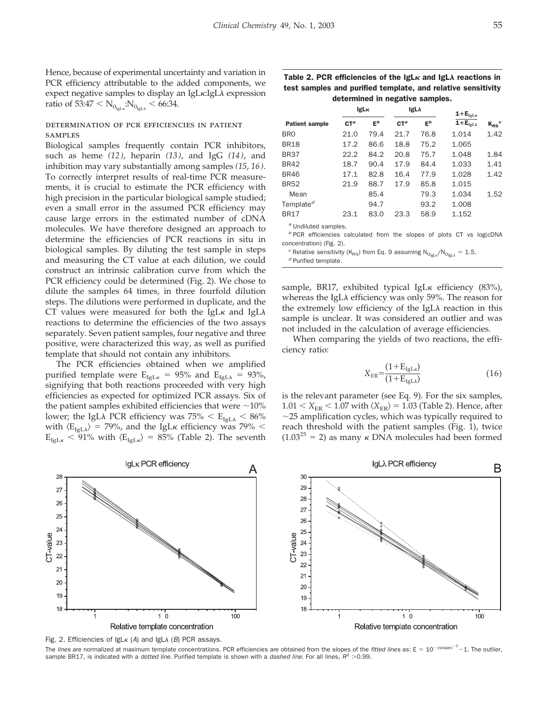Hence, because of experimental uncertainty and variation in PCR efficiency attributable to the added components, we expect negative samples to display an IgL<sub>K</sub>:IgL $\lambda$  expression ratio of 53:47  $\rm < N_{0_{IgLx}}$ : $\rm N_{0_{IgL\lambda}}$   $\rm <$  66:34.

## determination of pcr efficiencies in patient **SAMPLES**

Biological samples frequently contain PCR inhibitors, such as heme *(12)*, heparin *(13)*, and IgG *(14)*, and inhibition may vary substantially among samples *(15*, *16)*. To correctly interpret results of real-time PCR measurements, it is crucial to estimate the PCR efficiency with high precision in the particular biological sample studied; even a small error in the assumed PCR efficiency may cause large errors in the estimated number of cDNA molecules. We have therefore designed an approach to determine the efficiencies of PCR reactions in situ in biological samples. By diluting the test sample in steps and measuring the CT value at each dilution, we could construct an intrinsic calibration curve from which the PCR efficiency could be determined (Fig. 2). We chose to dilute the samples 64 times, in three fourfold dilution steps. The dilutions were performed in duplicate, and the CT values were measured for both the IgL $\kappa$  and IgL $\lambda$ reactions to determine the efficiencies of the two assays separately. Seven patient samples, four negative and three positive, were characterized this way, as well as purified template that should not contain any inhibitors.

The PCR efficiencies obtained when we amplified purified template were  $E_{IgL\kappa} = 95\%$  and  $E_{IgL\lambda} = 93\%$ , signifying that both reactions proceeded with very high efficiencies as expected for optimized PCR assays. Six of the patient samples exhibited efficiencies that were  $\sim$ 10% lower; the IgL $\lambda$  PCR efficiency was 75%  $<$  E<sub>IgL $\lambda$ </sub>  $<$  86% with  $\langle E_{\text{IgL}\lambda} \rangle$  = 79%, and the IgL $\kappa$  efficiency was 79%  $<$  $E_{IgL\kappa}$  < 91% with  $\langle E_{IgL\kappa} \rangle$  = 85% (Table 2). The seventh

Table 2. PCR efficiencies of the IgL $\kappa$  and IgL $\lambda$  reactions in test samples and purified template, and relative sensitivity determined in negative samples.

|                       | lgL <sub>K</sub> |       | $IgL\lambda$ |       | $1 + E_{\text{IgL}k}$ |            |
|-----------------------|------------------|-------|--------------|-------|-----------------------|------------|
| <b>Patient sample</b> | $C T^a$          | $E^b$ | $C T^a$      | $E^b$ | $1 + E_{IeLA}$        | $K_{RS}^c$ |
| <b>BRO</b>            | 21.0             | 79.4  | 21.7         | 76.8  | 1.014                 | 1.42       |
| <b>BR18</b>           | 17.2             | 86.6  | 18.8         | 75.2  | 1.065                 |            |
| <b>BR37</b>           | 22.2             | 84.2  | 20.8         | 75.7  | 1.048                 | 1.84       |
| <b>BR42</b>           | 18.7             | 90.4  | 17.9         | 84.4  | 1.033                 | 1.41       |
| <b>BR46</b>           | 17.1             | 82.8  | 16.4         | 77.9  | 1.028                 | 1.42       |
| <b>BR52</b>           | 21.9             | 88.7  | 17.9         | 85.8  | 1.015                 |            |
| Mean                  |                  | 85.4  |              | 79.3  | 1.034                 | 1.52       |
| Template <sup>d</sup> |                  | 94.7  |              | 93.2  | 1.008                 |            |
| <b>BR17</b>           | 23.1             | 83.0  | 23.3         | 58.9  | 1.152                 |            |
|                       |                  |       |              |       |                       |            |

*<sup>a</sup>* Undiluted samples.

*<sup>b</sup>* PCR efficiencies calculated from the slopes of plots CT vs log(cDNA concentration) (Fig. 2).

<sup>*c*</sup> Relative sensitivity (K<sub>RS</sub>) from Eq. 9 assuming N<sub>O<sub>IgLx</sub>/N<sub>O<sub>IgLλ</sub> = 1.5.<br><sup>*d*</sup> Purified template.</sub></sub>

sample, BR17, exhibited typical IgL $\kappa$  efficiency (83%), whereas the IgL $\lambda$  efficiency was only 59%. The reason for the extremely low efficiency of the IgL $\lambda$  reaction in this sample is unclear. It was considered an outlier and was not included in the calculation of average efficiencies.

When comparing the yields of two reactions, the efficiency ratio:

$$
X_{\rm ER} = \frac{(1 + E_{\rm IgLk})}{(1 + E_{\rm IgLk})}
$$
\n(16)

is the relevant parameter (see Eq. 9). For the six samples,  $1.01 < X_{\rm ER} < 1.07$  with  $\langle X_{\rm ER} \rangle$  = 1.03 (Table 2). Hence, after  $\sim$ 25 amplification cycles, which was typically required to reach threshold with the patient samples (Fig. 1), twice  $(1.03^{25} = 2)$  as many  $\kappa$  DNA molecules had been formed



Fig. 2. Efficiencies of  $lgLk$  (A) and  $lgL\lambda$  (B) PCR assays.

The *lines* are normalized at maximum template concentrations. PCR efficiencies are obtained from the slopes of the *fitted lines* as: E = 10<sup>-(slope)<sup>-1</sup>-1. The outlier,</sup> sample BR17, is indicated with a *dotted line*. Purified template is shown with a *dashed line*. For all lines,  $R^2 > 0.99$ .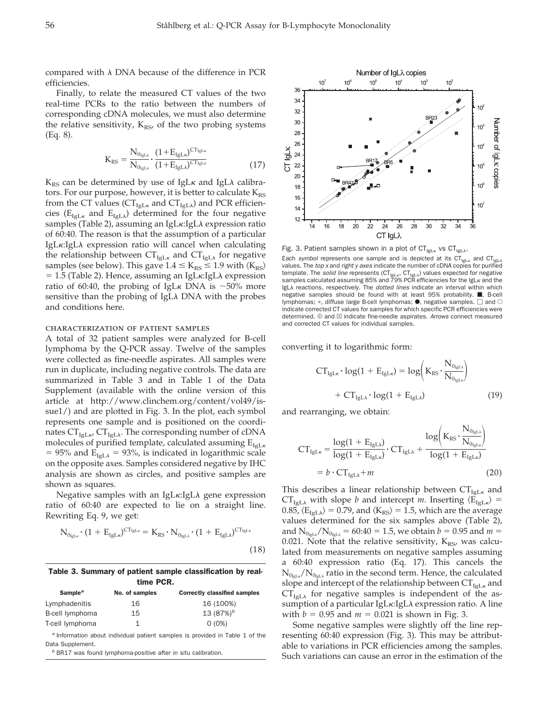compared with  $\lambda$  DNA because of the difference in PCR efficiencies.

Finally, to relate the measured CT values of the two real-time PCRs to the ratio between the numbers of corresponding cDNA molecules, we must also determine the relative sensitivity,  $K_{RS}$ , of the two probing systems (Eq. 8).

$$
K_{RS} = \frac{N_{0_{IgL\kappa}}}{N_{0_{IgL\kappa}}} \cdot \frac{(1 + E_{IgL\kappa})^{CT_{IgL\kappa}}}{(1 + E_{IgL\lambda})^{CT_{IgL\lambda}}}
$$
(17)

 $\rm K_{\rm RS}$  can be determined by use of IgL $\kappa$  and IgL $\lambda$  calibrators. For our purpose, however, it is better to calculate  $K_{RS}$ from the CT values ( $\text{CT}_{\text{IgL}\kappa}$  and  $\text{CT}_{\text{IgL}\lambda}$ ) and PCR efficiencies ( $E_{IgL\kappa}$  and  $E_{IgL\lambda}$ ) determined for the four negative samples (Table 2), assuming an IgL $\kappa$ :IgL $\lambda$  expression ratio of 60:40. The reason is that the assumption of a particular IgLκ:IgLλ expression ratio will cancel when calculating the relationship between  $CT_{IgL\kappa}$  and  $CT_{IgL\lambda}$  for negative samples (see below). This gave  $1.4 \leq K_{RS} \leq 1.9$  with  $\langle K_{RS} \rangle$  $= 1.5$  (Table 2). Hence, assuming an IgL $\kappa$ :IgL $\lambda$  expression ratio of 60:40, the probing of IgL<sub>K</sub> DNA is  $\sim$ 50% more sensitive than the probing of IgL $\lambda$  DNA with the probes and conditions here.

## characterization of patient samples

A total of 32 patient samples were analyzed for B-cell lymphoma by the Q-PCR assay. Twelve of the samples were collected as fine-needle aspirates. All samples were run in duplicate, including negative controls. The data are summarized in Table 3 and in Table 1 of the Data Supplement (available with the online version of this article at http://www.clinchem.org/content/vol49/issue1/) and are plotted in Fig. 3. In the plot, each symbol represents one sample and is positioned on the coordinates CT $_{\rm IgL}$ , CT $_{\rm IgL\lambda}$ . The corresponding number of cDNA molecules of purified template, calculated assuming  $E_{IgLk}$ = 95% and  $E_{IgL\lambda}$  = 93%, is indicated in logarithmic scale on the opposite axes. Samples considered negative by IHC analysis are shown as circles, and positive samples are shown as squares.

Negative samples with an IgL $\kappa$ :IgL $\lambda$  gene expression ratio of 60:40 are expected to lie on a straight line. Rewriting Eq. 9, we get:

$$
N_{0_{lgL\kappa}} \cdot (1 + E_{IgL\kappa})^{CT_{lgL\kappa}} = K_{RS} \cdot N_{0_{lgL\lambda}} \cdot (1 + E_{IgL\lambda})^{CT_{lgL\lambda}}
$$
\n(18)

Table 3. Summary of patient sample classification by realtime PCR.

| Sample <sup>a</sup> | No. of samples | <b>Correctly classified samples</b> |  |  |
|---------------------|----------------|-------------------------------------|--|--|
| Lymphadenitis       | 16             | 16 (100%)                           |  |  |
| B-cell lymphoma     | 15             | 13 $(87%)^b$                        |  |  |
| T-cell lymphoma     |                | $O(0\%)$                            |  |  |
|                     |                |                                     |  |  |

*<sup>a</sup>* Information about individual patient samples is provided in Table 1 of the Data Supplement.

*<sup>b</sup>* BR17 was found lymphoma-positive after in situ calibration.

Number of IgL<sub> $\lambda$ </sub> copies  $10<sup>7</sup>$  $10<sup>6</sup>$  $10<sup>5</sup>$  $10<sup>4</sup>$  $10^3$  $10^2$ 36 34 32  $30$ Number of IgLx copies 28 26 CT IgLK  $24$  $22$  $\overline{20}$ 18 16  $14$  $12$  $\dot{2}$  $\overline{24}$  $\overline{26}$ 28  $\dot{30}$  $32$  $\overline{34}$ CT IgLλ

Fig. 3. Patient samples shown in a plot of CT<sub>IgLx</sub> vs CT<sub>IgLx</sub>. Each *symbol* represents one sample and is depicted at its  $CT_{IgLx}$  and  $CT_{IgLx}$  values. The *top x* and *right y axes* indicate the number of cDNA copies for purified template. The *solid line* represents (CT<sub>IgLK</sub>, CT<sub>IgLA</sub>) values expected for negative samples calculated assuming 85% and 79% PCR efficiencies for the IgL $\kappa$  and the IgLA reactions, respectively. The *dotted lines* indicate an interval within which negative samples should be found with at least  $95%$  probability.  $\blacksquare$ . B-cell lymphomas;  $\ast$ , diffuse large B-cell lymphomas;  $\bullet$ , negative samples.  $\Box$  and  $\circ$ indicate corrected CT values for samples for which specific PCR efficiencies were determined.  $\oplus$  and  $\boxtimes$  indicate fine-needle aspirates. Arrows connect measured and corrected CT values for individual samples.

converting it to logarithmic form:

$$
CT_{IgL\kappa} \cdot \log(1 + E_{IgL\kappa}) = \log\left(K_{RS} \cdot \frac{N_{0_{IgL\kappa}}}{N_{0_{IgL\kappa}}}\right) + CT_{IgL\lambda} \cdot \log(1 + E_{IgL\lambda})
$$
\n(19)

and rearranging, we obtain:

$$
CT_{IgL\kappa} = \frac{\log(1 + E_{IgL\lambda})}{\log(1 + E_{IgL\lambda})} \cdot CT_{IgL\lambda} + \frac{\log(K_{RS} \cdot \frac{N_{0_{IgL\kappa}}}{N_{0_{IgL\kappa}}})}{\log(1 + E_{IgL\kappa})}
$$
  
=  $b \cdot CT_{IgL\lambda} + m$  (20)

This describes a linear relationship between  $CT_{\text{IGLK}}$  and  $CT_{IgL\lambda}$  with slope *b* and intercept *m*. Inserting  $\langle E_{IgL\kappa} \rangle =$ 0.85,  $\langle E_{\text{IgL}\lambda} \rangle$  = 0.79, and  $\langle K_{\text{RS}} \rangle$  = 1.5, which are the average values determined for the six samples above (Table 2), and  $N_{0_{IgLx}}/N_{0_{IgLx}} = 60:40 = 1.5$ , we obtain  $b = 0.95$  and  $m =$ 0.021. Note that the relative sensitivity,  $K_{RS}$ , was calculated from measurements on negative samples assuming a 60:40 expression ratio (Eq. 17). This cancels the  $\rm N_{0_{IgL\kappa}}/N_{0_{IgL\lambda}}$  ratio in the second term. Hence, the calculated slope and intercept of the relationship between  $CT_{IgL_K}$  and  $CT_{\text{IgL}\lambda}$  for negative samples is independent of the assumption of a particular IgL $\kappa$ :IgL $\lambda$  expression ratio. A line with  $b = 0.95$  and  $m = 0.021$  is shown in Fig. 3.

Some negative samples were slightly off the line representing 60:40 expression (Fig. 3). This may be attributable to variations in PCR efficiencies among the samples. Such variations can cause an error in the estimation of the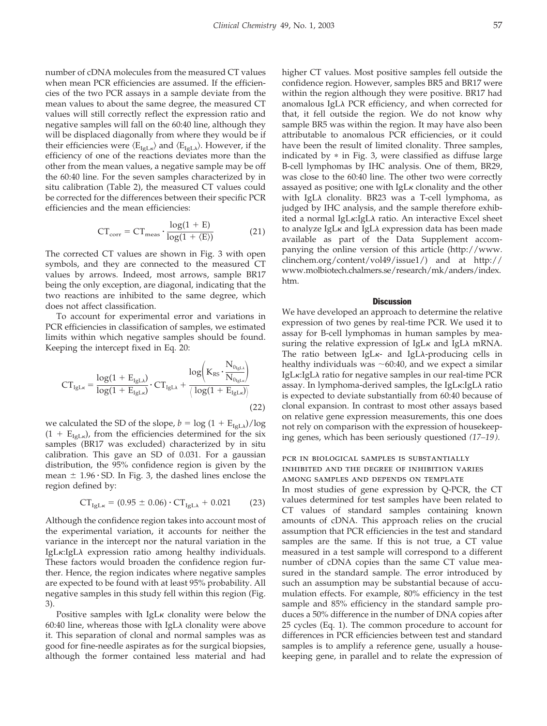number of cDNA molecules from the measured CT values when mean PCR efficiencies are assumed. If the efficiencies of the two PCR assays in a sample deviate from the mean values to about the same degree, the measured CT values will still correctly reflect the expression ratio and negative samples will fall on the 60:40 line, although they will be displaced diagonally from where they would be if their efficiencies were  $\langle E_{IgLk} \rangle$  and  $\langle E_{IgL\lambda} \rangle$ . However, if the efficiency of one of the reactions deviates more than the other from the mean values, a negative sample may be off the 60:40 line. For the seven samples characterized by in situ calibration (Table 2), the measured CT values could be corrected for the differences between their specific PCR efficiencies and the mean efficiencies:

$$
CT_{corr} = CT_{meas} \cdot \frac{\log(1 + E)}{\log(1 + \langle E \rangle)}
$$
 (21)

The corrected CT values are shown in Fig. 3 with open symbols, and they are connected to the measured CT values by arrows. Indeed, most arrows, sample BR17 being the only exception, are diagonal, indicating that the two reactions are inhibited to the same degree, which does not affect classification.

To account for experimental error and variations in PCR efficiencies in classification of samples, we estimated limits within which negative samples should be found. Keeping the intercept fixed in Eq. 20:

$$
CT_{IgL\kappa} = \frac{log(1 + E_{IgL\lambda})}{log(1 + E_{IgL\kappa})} \cdot CT_{IgL\lambda} + \frac{log(K_{RS} \cdot \frac{N_{0_{IgL\kappa}}}{N_{0_{IgL\kappa}})}}{(log(1 + E_{IgL\kappa}))}
$$
(22)

we calculated the SD of the slope,  $b = \log (1 + E_{\text{IgLA}})/\log$  $(1 + E_{IgLk})$ , from the efficiencies determined for the six samples (BR17 was excluded) characterized by in situ calibration. This gave an SD of 0.031. For a gaussian distribution, the 95% confidence region is given by the mean  $\pm$  1.96  $\cdot$  SD. In Fig. 3, the dashed lines enclose the region defined by:

$$
CT_{IgL\kappa} = (0.95 \pm 0.06) \cdot CT_{IgL\lambda} + 0.021 \tag{23}
$$

Although the confidence region takes into account most of the experimental variation, it accounts for neither the variance in the intercept nor the natural variation in the IgLκ:IgLλ expression ratio among healthy individuals. These factors would broaden the confidence region further. Hence, the region indicates where negative samples are expected to be found with at least 95% probability. All negative samples in this study fell within this region (Fig. 3).

Positive samples with  $IgLk$  clonality were below the 60:40 line, whereas those with IgL $\lambda$  clonality were above it. This separation of clonal and normal samples was as good for fine-needle aspirates as for the surgical biopsies, although the former contained less material and had higher CT values. Most positive samples fell outside the confidence region. However, samples BR5 and BR17 were within the region although they were positive. BR17 had anomalous IgLA PCR efficiency, and when corrected for that, it fell outside the region. We do not know why sample BR5 was within the region. It may have also been attributable to anomalous PCR efficiencies, or it could have been the result of limited clonality. Three samples, indicated by  $*$  in Fig. 3, were classified as diffuse large B-cell lymphomas by IHC analysis. One of them, BR29, was close to the 60:40 line. The other two were correctly assayed as positive; one with  $IgL\kappa$  clonality and the other with IgL $\lambda$  clonality. BR23 was a T-cell lymphoma, as judged by IHC analysis, and the sample therefore exhibited a normal IgLκ:IgLλ ratio. An interactive Excel sheet to analyze IgLκ and IgLλ expression data has been made available as part of the Data Supplement accompanying the online version of this article (http://www. clinchem.org/content/vol49/issue1/) and at http:// www.molbiotech.chalmers.se/research/mk/anders/index. htm.

#### **Discussion**

We have developed an approach to determine the relative expression of two genes by real-time PCR. We used it to assay for B-cell lymphomas in human samples by measuring the relative expression of IgL $\kappa$  and IgL $\lambda$  mRNA. The ratio between IgL<sub>K</sub>- and IgLA-producing cells in healthy individuals was  $\sim 60:40$ , and we expect a similar IgLκ:IgLλ ratio for negative samples in our real-time PCR assay. In lymphoma-derived samples, the IgL $\kappa$ :IgL $\lambda$  ratio is expected to deviate substantially from 60:40 because of clonal expansion. In contrast to most other assays based on relative gene expression measurements, this one does not rely on comparison with the expression of housekeeping genes, which has been seriously questioned *(17–19)*.

## pcr in biological samples is substantially inhibited and the degree of inhibition varies among samples and depends on template

In most studies of gene expression by Q-PCR, the CT values determined for test samples have been related to CT values of standard samples containing known amounts of cDNA. This approach relies on the crucial assumption that PCR efficiencies in the test and standard samples are the same. If this is not true, a CT value measured in a test sample will correspond to a different number of cDNA copies than the same CT value measured in the standard sample. The error introduced by such an assumption may be substantial because of accumulation effects. For example, 80% efficiency in the test sample and 85% efficiency in the standard sample produces a 50% difference in the number of DNA copies after 25 cycles (Eq. 1). The common procedure to account for differences in PCR efficiencies between test and standard samples is to amplify a reference gene, usually a housekeeping gene, in parallel and to relate the expression of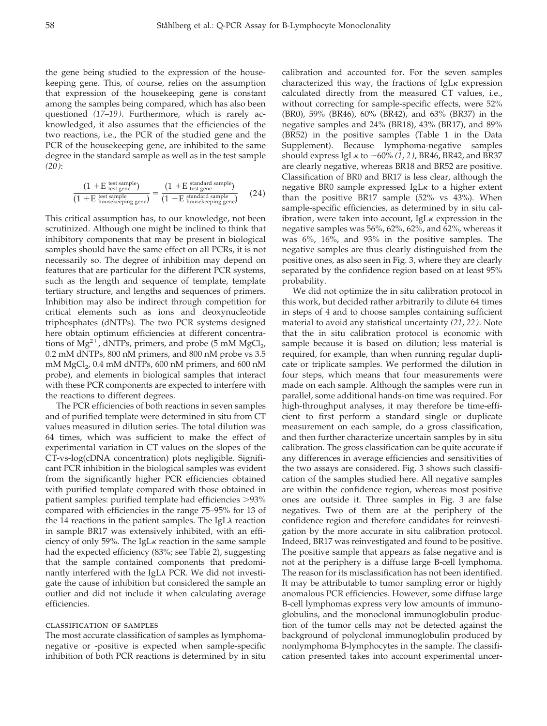the gene being studied to the expression of the housekeeping gene. This, of course, relies on the assumption that expression of the housekeeping gene is constant among the samples being compared, which has also been questioned *(17–19)*. Furthermore, which is rarely acknowledged, it also assumes that the efficiencies of the two reactions, i.e., the PCR of the studied gene and the PCR of the housekeeping gene, are inhibited to the same degree in the standard sample as well as in the test sample *(20)*:

$$
\frac{(1 + E \text{ test same})}{(1 + E \text{ test gene})} = \frac{(1 + E \text{ standard sample})}{(1 + E \text{ test sample})} = \frac{(1 + E \text{ standard sample})}{(1 + E \text{ standard sample})} \tag{24}
$$

This critical assumption has, to our knowledge, not been scrutinized. Although one might be inclined to think that inhibitory components that may be present in biological samples should have the same effect on all PCRs, it is not necessarily so. The degree of inhibition may depend on features that are particular for the different PCR systems, such as the length and sequence of template, template tertiary structure, and lengths and sequences of primers. Inhibition may also be indirect through competition for critical elements such as ions and deoxynucleotide triphosphates (dNTPs). The two PCR systems designed here obtain optimum efficiencies at different concentrations of  $Mg^{2+}$ , dNTPs, primers, and probe (5 mM  $MgCl_2$ , 0.2 mM dNTPs, 800 nM primers, and 800 nM probe vs 3.5 mM  $MgCl<sub>2</sub>$ , 0.4 mM dNTPs, 600 nM primers, and 600 nM probe), and elements in biological samples that interact with these PCR components are expected to interfere with the reactions to different degrees.

The PCR efficiencies of both reactions in seven samples and of purified template were determined in situ from CT values measured in dilution series. The total dilution was 64 times, which was sufficient to make the effect of experimental variation in CT values on the slopes of the CT-vs-log(cDNA concentration) plots negligible. Significant PCR inhibition in the biological samples was evident from the significantly higher PCR efficiencies obtained with purified template compared with those obtained in patient samples: purified template had efficiencies 93% compared with efficiencies in the range 75–95% for 13 of the 14 reactions in the patient samples. The IgL $\lambda$  reaction in sample BR17 was extensively inhibited, with an efficiency of only 59%. The IgL $\kappa$  reaction in the same sample had the expected efficiency (83%; see Table 2), suggesting that the sample contained components that predominantly interfered with the IgL $\lambda$  PCR. We did not investigate the cause of inhibition but considered the sample an outlier and did not include it when calculating average efficiencies.

#### classification of samples

The most accurate classification of samples as lymphomanegative or -positive is expected when sample-specific inhibition of both PCR reactions is determined by in situ calibration and accounted for. For the seven samples characterized this way, the fractions of IgL $\kappa$  expression calculated directly from the measured CT values, i.e., without correcting for sample-specific effects, were 52% (BR0), 59% (BR46), 60% (BR42), and 63% (BR37) in the negative samples and 24% (BR18), 43% (BR17), and 89% (BR52) in the positive samples (Table 1 in the Data Supplement). Because lymphoma-negative samples should express IgL $\kappa$  to  $\sim$  60% (1, 2), BR46, BR42, and BR37 are clearly negative, whereas BR18 and BR52 are positive. Classification of BR0 and BR17 is less clear, although the negative BR0 sample expressed IgL $\kappa$  to a higher extent than the positive BR17 sample (52% vs 43%). When sample-specific efficiencies, as determined by in situ calibration, were taken into account, IgL $\kappa$  expression in the negative samples was 56%, 62%, 62%, and 62%, whereas it was 6%, 16%, and 93% in the positive samples. The negative samples are thus clearly distinguished from the positive ones, as also seen in Fig. 3, where they are clearly separated by the confidence region based on at least 95% probability.

We did not optimize the in situ calibration protocol in this work, but decided rather arbitrarily to dilute 64 times in steps of 4 and to choose samples containing sufficient material to avoid any statistical uncertainty *(21*, *22)*. Note that the in situ calibration protocol is economic with sample because it is based on dilution; less material is required, for example, than when running regular duplicate or triplicate samples. We performed the dilution in four steps, which means that four measurements were made on each sample. Although the samples were run in parallel, some additional hands-on time was required. For high-throughput analyses, it may therefore be time-efficient to first perform a standard single or duplicate measurement on each sample, do a gross classification, and then further characterize uncertain samples by in situ calibration. The gross classification can be quite accurate if any differences in average efficiencies and sensitivities of the two assays are considered. Fig. 3 shows such classification of the samples studied here. All negative samples are within the confidence region, whereas most positive ones are outside it. Three samples in Fig. 3 are false negatives. Two of them are at the periphery of the confidence region and therefore candidates for reinvestigation by the more accurate in situ calibration protocol. Indeed, BR17 was reinvestigated and found to be positive. The positive sample that appears as false negative and is not at the periphery is a diffuse large B-cell lymphoma. The reason for its misclassification has not been identified. It may be attributable to tumor sampling error or highly anomalous PCR efficiencies. However, some diffuse large B-cell lymphomas express very low amounts of immunoglobulins, and the monoclonal immunoglobulin production of the tumor cells may not be detected against the background of polyclonal immunoglobulin produced by nonlymphoma B-lymphocytes in the sample. The classification presented takes into account experimental uncer